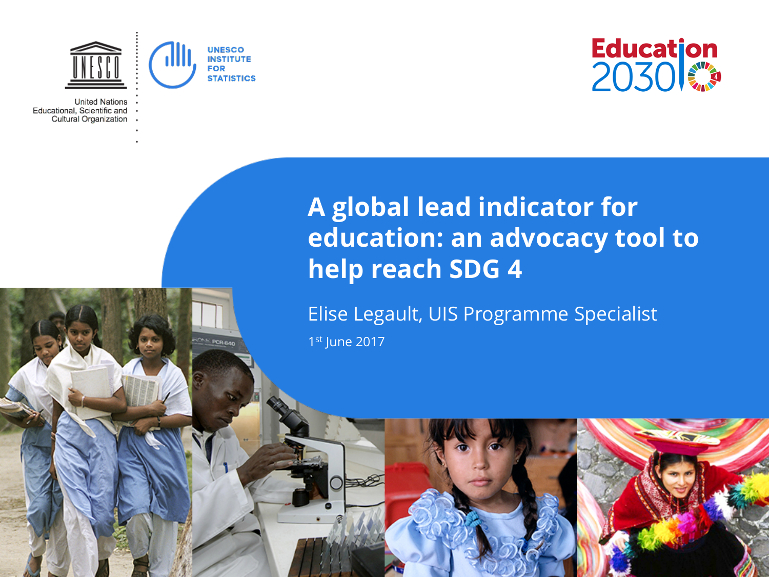

**POR BAR** 

**United Nations** Educational, Scientific and Cultural Organization



## **A global lead indicator for education: an advocacy tool to help reach SDG 4**

Elise Legault, UIS Programme Specialist 1st June 2017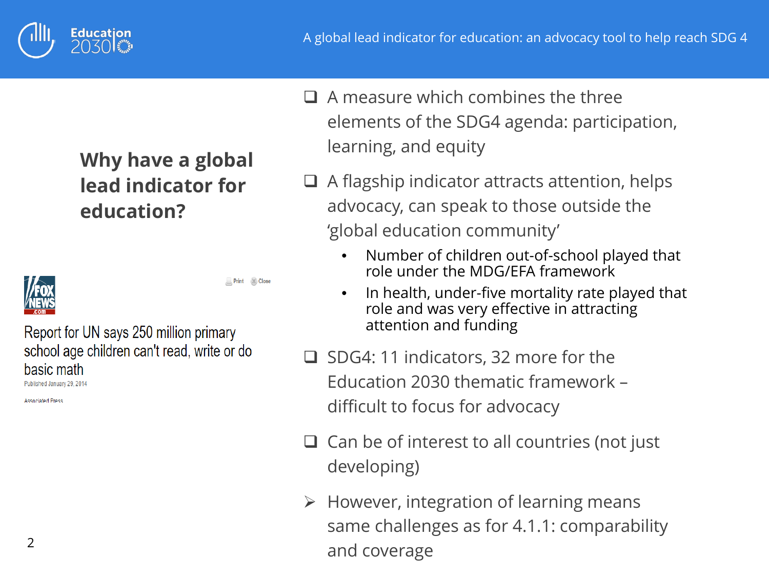

### **Why have a global lead indicator for education?**



Print (%) Close

Report for UN says 250 million primary school age children can't read, write or do basic math

Published January 29, 2014

**Accoriated Press** 

- $\Box$  A measure which combines the three elements of the SDG4 agenda: participation, learning, and equity
- $\Box$  A flagship indicator attracts attention, helps advocacy, can speak to those outside the 'global education community'
	- Number of children out-of-school played that role under the MDG/EFA framework
	- In health, under-five mortality rate played that role and was very effective in attracting attention and funding
- $\Box$  SDG4: 11 indicators, 32 more for the Education 2030 thematic framework – difficult to focus for advocacy
- $\Box$  Can be of interest to all countries (not just developing)
- $\triangleright$  However, integration of learning means same challenges as for 4.1.1: comparability and coverage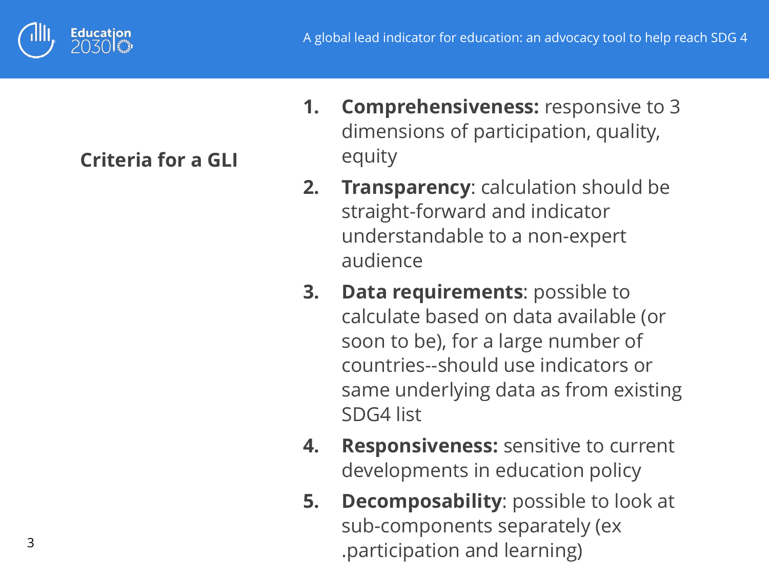

**Criteria for a GLI**

- **1. Comprehensiveness:** responsive to 3 dimensions of participation, quality, equity
- **2. Transparency**: calculation should be straight-forward and indicator understandable to a non-expert audience
- **3. Data requirements**: possible to calculate based on data available (or soon to be), for a large number of countries--should use indicators or same underlying data as from existing SDG4 list
- **4. Responsiveness:** sensitive to current developments in education policy
- **5. Decomposability**: possible to look at sub-components separately (ex .participation and learning)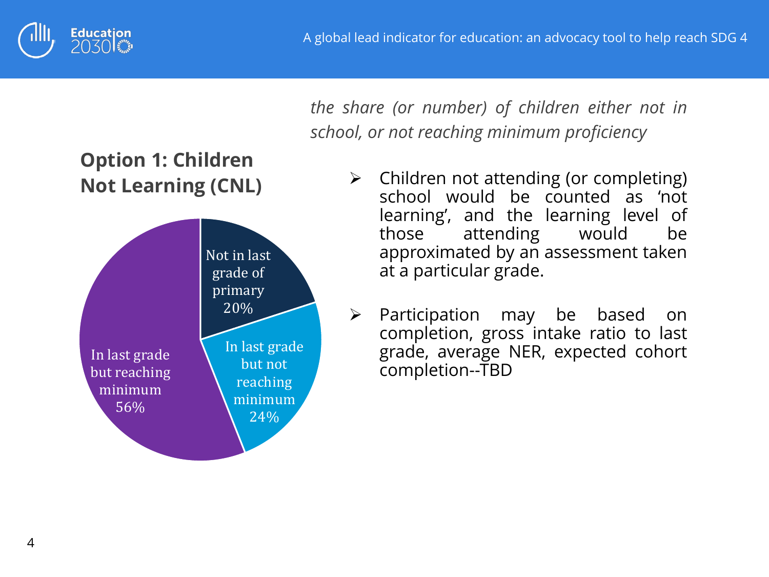





*the share (or number) of children either not in school, or not reaching minimum proficiency*

- $\triangleright$  Children not attending (or completing) school would be counted as 'not learning', and the learning level of those attending would be approximated by an assessment taken at a particular grade.
- $\triangleright$  Participation may be based on completion, gross intake ratio to last grade, average NER, expected cohort completion--TBD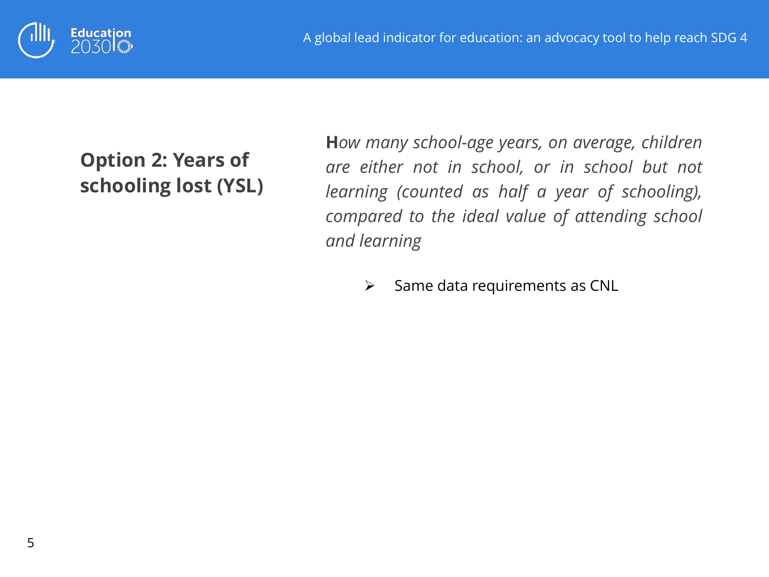

### **Option 2: Years of schooling lost (YSL)**

**H***ow many school-age years, on average, children are either not in school, or in school but not learning (counted as half a year of schooling), compared to the ideal value of attending school and learning*

 $\triangleright$  Same data requirements as CNL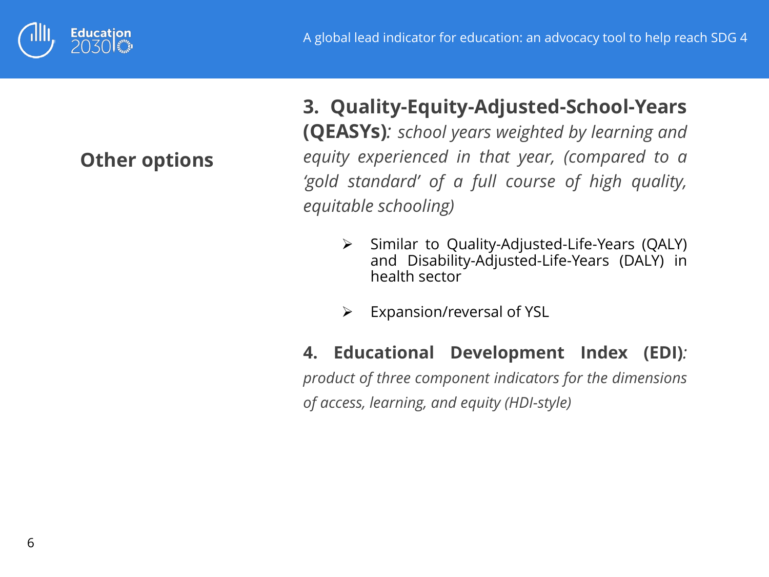

#### **Other options**

**3. Quality-Equity-Adjusted-School-Years (QEASYs)***: school years weighted by learning and equity experienced in that year, (compared to a 'gold standard' of a full course of high quality, equitable schooling)*

- $\triangleright$  Similar to Quality-Adjusted-Life-Years (QALY) and Disability-Adjusted-Life-Years (DALY) in health sector
- $\triangleright$  Expansion/reversal of YSL

#### **4. Educational Development Index (EDI)***:*

*product of three component indicators for the dimensions of access, learning, and equity (HDI-style)*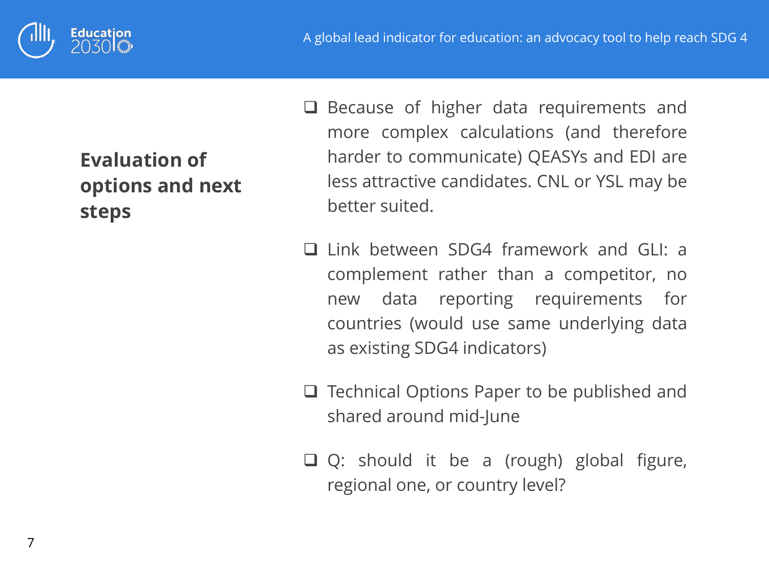



## **Evaluation of options and next steps**

- $\Box$  Because of higher data requirements and more complex calculations (and therefore harder to communicate) QEASYs and EDI are less attractive candidates. CNL or YSL may be better suited.
- Link between SDG4 framework and GLI: a complement rather than a competitor, no new data reporting requirements for countries (would use same underlying data as existing SDG4 indicators)
- $\Box$  Technical Options Paper to be published and shared around mid-June
- Q: should it be a (rough) global figure, regional one, or country level?